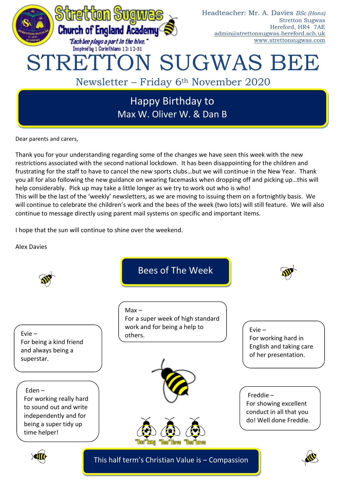

Dear parents and carers,

Thank you for your understanding regarding some of the changes we have seen this week with the new restrictions associated with the second national lockdown. It has been disappointing for the children and frustrating for the staff to have to cancel the new sports clubs…but we will continue in the New Year. Thank you all for also following the new guidance on wearing facemasks when dropping off and picking up…this will help considerably. Pick up may take a little longer as we try to work out who is who! This will be the last of the 'weekly' newsletters, as we are moving to issuing them on a fortnightly basis. We will continue to celebrate the children's work and the bees of the week (two lots) will still feature. We will also continue to message directly using parent mail systems on specific and important items.

I hope that the sun will continue to shine over the weekend.

Alex Davies



This half term's Christian Value is – Compassion